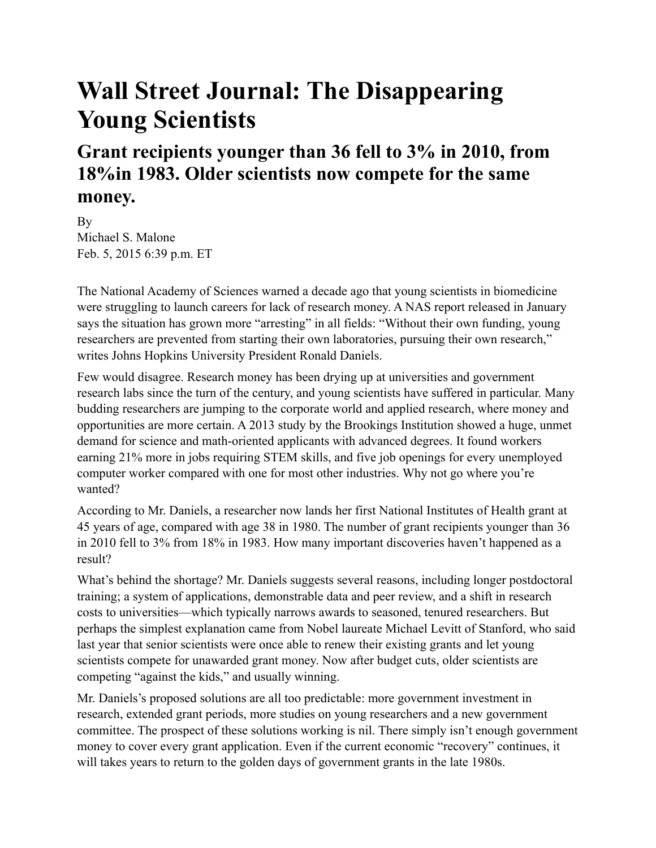## **Wall Street Journal: The Disappearing Young Scientists**

## **Grant recipients younger than 36 fell to 3% in 2010, from 18%in 1983. Older scientists now compete for the same money.**

By Michael S. Malone Feb. 5, 2015 6:39 p.m. ET

The National Academy of Sciences warned a decade ago that young scientists in biomedicine were struggling to launch careers for lack of research money. A NAS report released in January says the situation has grown more "arresting" in all fields: "Without their own funding, young researchers are prevented from starting their own laboratories, pursuing their own research," writes Johns Hopkins University President Ronald Daniels.

Few would disagree. Research money has been drying up at universities and government research labs since the turn of the century, and young scientists have suffered in particular. Many budding researchers are jumping to the corporate world and applied research, where money and opportunities are more certain. A 2013 study by the Brookings Institution showed a huge, unmet demand for science and math-oriented applicants with advanced degrees. It found workers earning 21% more in jobs requiring STEM skills, and five job openings for every unemployed computer worker compared with one for most other industries. Why not go where you're wanted?

According to Mr. Daniels, a researcher now lands her first National Institutes of Health grant at 45 years of age, compared with age 38 in 1980. The number of grant recipients younger than 36 in 2010 fell to 3% from 18% in 1983. How many important discoveries haven't happened as a result?

What's behind the shortage? Mr. Daniels suggests several reasons, including longer postdoctoral training; a system of applications, demonstrable data and peer review, and a shift in research costs to universities—which typically narrows awards to seasoned, tenured researchers. But perhaps the simplest explanation came from Nobel laureate Michael Levitt of Stanford, who said last year that senior scientists were once able to renew their existing grants and let young scientists compete for unawarded grant money. Now after budget cuts, older scientists are competing "against the kids," and usually winning.

Mr. Daniels's proposed solutions are all too predictable: more government investment in research, extended grant periods, more studies on young researchers and a new government committee. The prospect of these solutions working is nil. There simply isn't enough government money to cover every grant application. Even if the current economic "recovery" continues, it will takes years to return to the golden days of government grants in the late 1980s.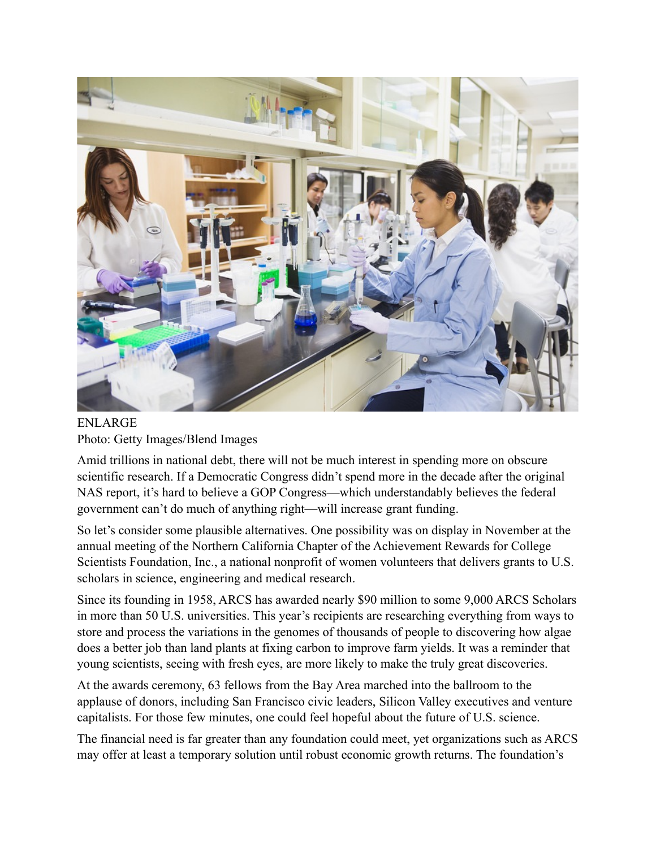

ENLARGE Photo: Getty Images/Blend Images

Amid trillions in national debt, there will not be much interest in spending more on obscure scientific research. If a Democratic Congress didn't spend more in the decade after the original NAS report, it's hard to believe a GOP Congress—which understandably believes the federal government can't do much of anything right—will increase grant funding.

So let's consider some plausible alternatives. One possibility was on display in November at the annual meeting of the Northern California Chapter of the Achievement Rewards for College Scientists Foundation, Inc., a national nonprofit of women volunteers that delivers grants to U.S. scholars in science, engineering and medical research.

Since its founding in 1958, ARCS has awarded nearly \$90 million to some 9,000 ARCS Scholars in more than 50 U.S. universities. This year's recipients are researching everything from ways to store and process the variations in the genomes of thousands of people to discovering how algae does a better job than land plants at fixing carbon to improve farm yields. It was a reminder that young scientists, seeing with fresh eyes, are more likely to make the truly great discoveries.

At the awards ceremony, 63 fellows from the Bay Area marched into the ballroom to the applause of donors, including San Francisco civic leaders, Silicon Valley executives and venture capitalists. For those few minutes, one could feel hopeful about the future of U.S. science.

The financial need is far greater than any foundation could meet, yet organizations such as ARCS may offer at least a temporary solution until robust economic growth returns. The foundation's